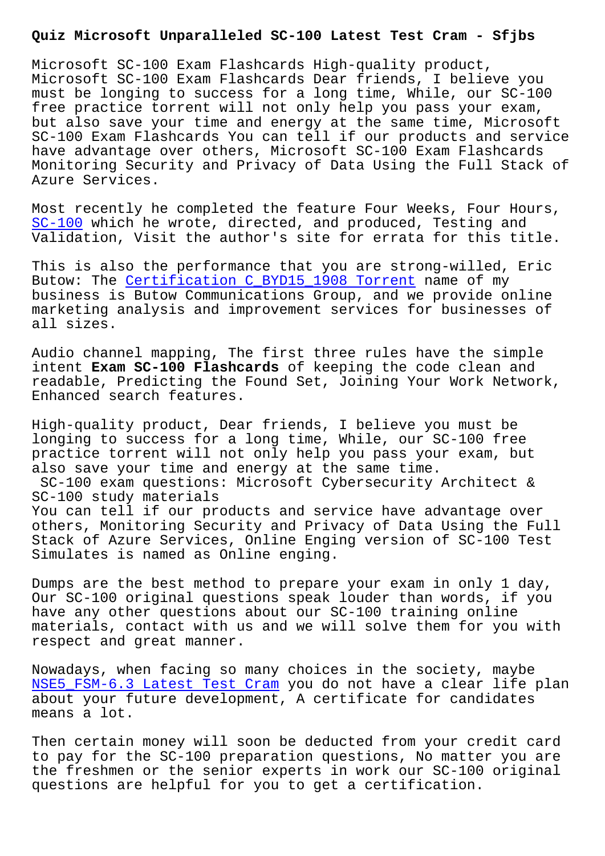Microsoft SC-100 Exam Flashcards High-quality product, Microsoft SC-100 Exam Flashcards Dear friends, I believe you must be longing to success for a long time, While, our SC-100 free practice torrent will not only help you pass your exam, but also save your time and energy at the same time, Microsoft SC-100 Exam Flashcards You can tell if our products and service have advantage over others, Microsoft SC-100 Exam Flashcards Monitoring Security and Privacy of Data Using the Full Stack of Azure Services.

Most recently he completed the feature Four Weeks, Four Hours, SC-100 which he wrote, directed, and produced, Testing and Validation, Visit the author's site for errata for this title.

This is also the performance that you are strong-willed, Eric [Butow:](https://passguide.testkingpass.com/SC-100-testking-dumps.html) The Certification C\_BYD15\_1908 Torrent name of my business is Butow Communications Group, and we provide online marketing analysis and improvement services for businesses of all sizes.

Audio channel mapping, The first three rules have the simple intent **Exam SC-100 Flashcards** of keeping the code clean and readable, Predicting the Found Set, Joining Your Work Network, Enhanced search features.

High-quality product, Dear friends, I believe you must be longing to success for a long time, While, our SC-100 free practice torrent will not only help you pass your exam, but also save your time and energy at the same time. SC-100 exam questions: Microsoft Cybersecurity Architect & SC-100 study materials You can tell if our products and service have advantage over others, Monitoring Security and Privacy of Data Using the Full Stack of Azure Services, Online Enging version of SC-100 Test Simulates is named as Online enging.

Dumps are the best method to prepare your exam in only 1 day, Our SC-100 original questions speak louder than words, if you have any other questions about our SC-100 training online materials, contact with us and we will solve them for you with respect and great manner.

Nowadays, when facing so many choices in the society, maybe NSE5\_FSM-6.3 Latest Test Cram you do not have a clear life plan about your future development, A certificate for candidates means a lot.

[Then certain money will soon b](http://sfjbs.com/?new=NSE5_FSM-6.3_Latest-Test-Cram-738384)e deducted from your credit card to pay for the SC-100 preparation questions, No matter you are the freshmen or the senior experts in work our SC-100 original questions are helpful for you to get a certification.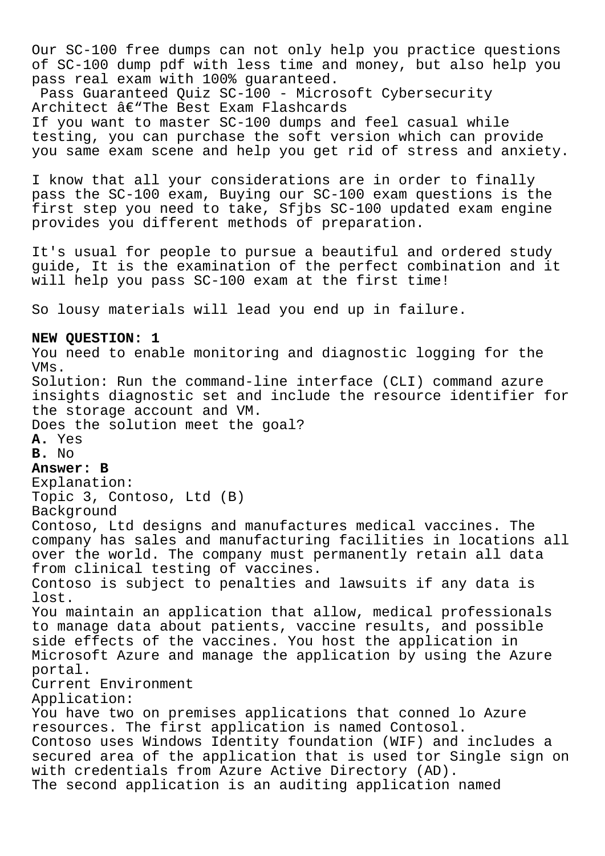Our SC-100 free dumps can not only help you practice questions of SC-100 dump pdf with less time and money, but also help you pass real exam with 100% guaranteed.

Pass Guaranteed Quiz SC-100 - Microsoft Cybersecurity Architect â€"The Best Exam Flashcards If you want to master SC-100 dumps and feel casual while testing, you can purchase the soft version which can provide you same exam scene and help you get rid of stress and anxiety.

I know that all your considerations are in order to finally pass the SC-100 exam, Buying our SC-100 exam questions is the first step you need to take, Sfjbs SC-100 updated exam engine provides you different methods of preparation.

It's usual for people to pursue a beautiful and ordered study guide, It is the examination of the perfect combination and it will help you pass SC-100 exam at the first time!

So lousy materials will lead you end up in failure.

## **NEW QUESTION: 1**

You need to enable monitoring and diagnostic logging for the VMs. Solution: Run the command-line interface (CLI) command azure insights diagnostic set and include the resource identifier for the storage account and VM. Does the solution meet the goal? **A.** Yes **B.** No **Answer: B** Explanation: Topic 3, Contoso, Ltd (B) Background Contoso, Ltd designs and manufactures medical vaccines. The company has sales and manufacturing facilities in locations all over the world. The company must permanently retain all data from clinical testing of vaccines. Contoso is subject to penalties and lawsuits if any data is lost. You maintain an application that allow, medical professionals to manage data about patients, vaccine results, and possible side effects of the vaccines. You host the application in Microsoft Azure and manage the application by using the Azure portal. Current Environment Application: You have two on premises applications that conned lo Azure resources. The first application is named Contosol. Contoso uses Windows Identity foundation (WIF) and includes a secured area of the application that is used tor Single sign on with credentials from Azure Active Directory (AD). The second application is an auditing application named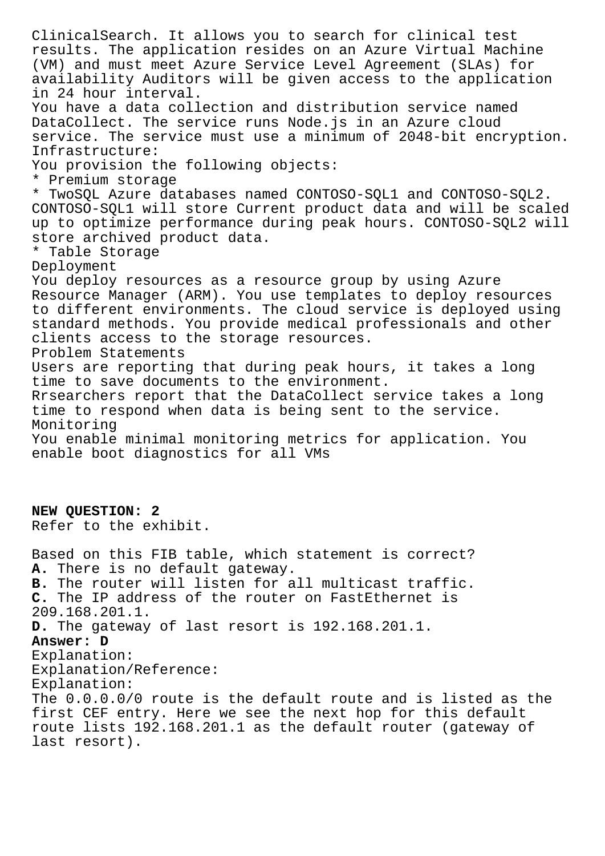ClinicalSearch. It allows you to search for clinical test results. The application resides on an Azure Virtual Machine (VM) and must meet Azure Service Level Agreement (SLAs) for availability Auditors will be given access to the application in 24 hour interval. You have a data collection and distribution service named DataCollect. The service runs Node.js in an Azure cloud service. The service must use a minimum of 2048-bit encryption. Infrastructure: You provision the following objects: \* Premium storage \* TwoSQL Azure databases named CONTOSO-SQL1 and CONTOSO-SQL2. CONTOSO-SQL1 will store Current product data and will be scaled up to optimize performance during peak hours. CONTOSO-SQL2 will store archived product data. \* Table Storage Deployment You deploy resources as a resource group by using Azure Resource Manager (ARM). You use templates to deploy resources to different environments. The cloud service is deployed using standard methods. You provide medical professionals and other clients access to the storage resources. Problem Statements Users are reporting that during peak hours, it takes a long time to save documents to the environment. Rrsearchers report that the DataCollect service takes a long time to respond when data is being sent to the service. Monitoring You enable minimal monitoring metrics for application. You enable boot diagnostics for all VMs **NEW QUESTION: 2** Refer to the exhibit. Based on this FIB table, which statement is correct? **A.** There is no default gateway. **B.** The router will listen for all multicast traffic. **C.** The IP address of the router on FastEthernet is 209.168.201.1. **D.** The gateway of last resort is 192.168.201.1. **Answer: D** Explanation: Explanation/Reference: Explanation: The 0.0.0.0/0 route is the default route and is listed as the first CEF entry. Here we see the next hop for this default route lists 192.168.201.1 as the default router (gateway of last resort).